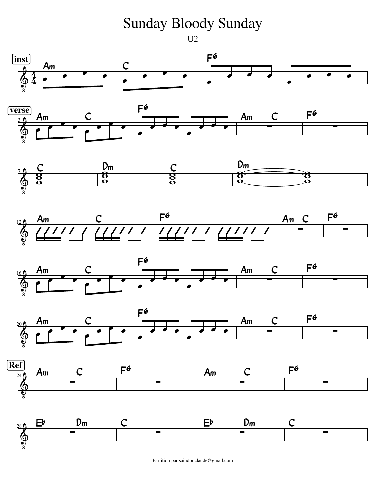## Sunday Bloody Sunday

U<sub>2</sub>

















Partition par saindonclaude@gmail.com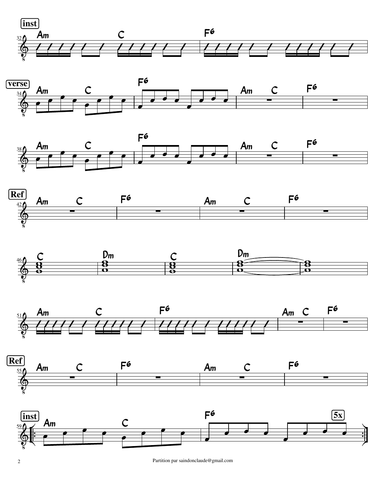















2 Partition par saindonclaude@gmail.com